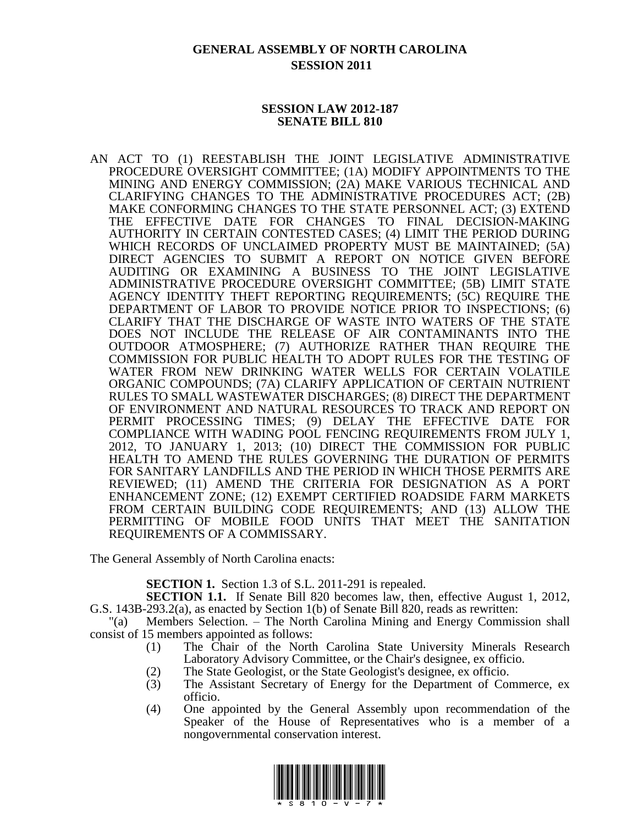# **GENERAL ASSEMBLY OF NORTH CAROLINA SESSION 2011**

### **SESSION LAW 2012-187 SENATE BILL 810**

AN ACT TO (1) REESTABLISH THE JOINT LEGISLATIVE ADMINISTRATIVE PROCEDURE OVERSIGHT COMMITTEE; (1A) MODIFY APPOINTMENTS TO THE MINING AND ENERGY COMMISSION; (2A) MAKE VARIOUS TECHNICAL AND CLARIFYING CHANGES TO THE ADMINISTRATIVE PROCEDURES ACT; (2B) MAKE CONFORMING CHANGES TO THE STATE PERSONNEL ACT; (3) EXTEND THE EFFECTIVE DATE FOR CHANGES TO FINAL DECISION-MAKING AUTHORITY IN CERTAIN CONTESTED CASES; (4) LIMIT THE PERIOD DURING WHICH RECORDS OF UNCLAIMED PROPERTY MUST BE MAINTAINED; (5A) DIRECT AGENCIES TO SUBMIT A REPORT ON NOTICE GIVEN BEFORE AUDITING OR EXAMINING A BUSINESS TO THE JOINT LEGISLATIVE ADMINISTRATIVE PROCEDURE OVERSIGHT COMMITTEE; (5B) LIMIT STATE AGENCY IDENTITY THEFT REPORTING REQUIREMENTS; (5C) REQUIRE THE DEPARTMENT OF LABOR TO PROVIDE NOTICE PRIOR TO INSPECTIONS; (6) CLARIFY THAT THE DISCHARGE OF WASTE INTO WATERS OF THE STATE DOES NOT INCLUDE THE RELEASE OF AIR CONTAMINANTS INTO THE OUTDOOR ATMOSPHERE; (7) AUTHORIZE RATHER THAN REQUIRE THE COMMISSION FOR PUBLIC HEALTH TO ADOPT RULES FOR THE TESTING OF WATER FROM NEW DRINKING WATER WELLS FOR CERTAIN VOLATILE ORGANIC COMPOUNDS; (7A) CLARIFY APPLICATION OF CERTAIN NUTRIENT RULES TO SMALL WASTEWATER DISCHARGES; (8) DIRECT THE DEPARTMENT OF ENVIRONMENT AND NATURAL RESOURCES TO TRACK AND REPORT ON PERMIT PROCESSING TIMES; (9) DELAY THE EFFECTIVE DATE FOR COMPLIANCE WITH WADING POOL FENCING REQUIREMENTS FROM JULY 1, 2012, TO JANUARY 1, 2013; (10) DIRECT THE COMMISSION FOR PUBLIC HEALTH TO AMEND THE RULES GOVERNING THE DURATION OF PERMITS FOR SANITARY LANDFILLS AND THE PERIOD IN WHICH THOSE PERMITS ARE REVIEWED; (11) AMEND THE CRITERIA FOR DESIGNATION AS A PORT ENHANCEMENT ZONE; (12) EXEMPT CERTIFIED ROADSIDE FARM MARKETS FROM CERTAIN BUILDING CODE REQUIREMENTS; AND (13) ALLOW THE PERMITTING OF MOBILE FOOD UNITS THAT MEET THE SANITATION REQUIREMENTS OF A COMMISSARY.

The General Assembly of North Carolina enacts:

**SECTION 1.** Section 1.3 of S.L. 2011-291 is repealed.

**SECTION 1.1.** If Senate Bill 820 becomes law, then, effective August 1, 2012, G.S. 143B-293.2(a), as enacted by Section 1(b) of Senate Bill 820, reads as rewritten:

"(a) Members Selection. – The North Carolina Mining and Energy Commission shall consist of 15 members appointed as follows:

- (1) The Chair of the North Carolina State University Minerals Research Laboratory Advisory Committee, or the Chair's designee, ex officio.
- (2) The State Geologist, or the State Geologist's designee, ex officio.
- (3) The Assistant Secretary of Energy for the Department of Commerce, ex officio.
- (4) One appointed by the General Assembly upon recommendation of the Speaker of the House of Representatives who is a member of a nongovernmental conservation interest.

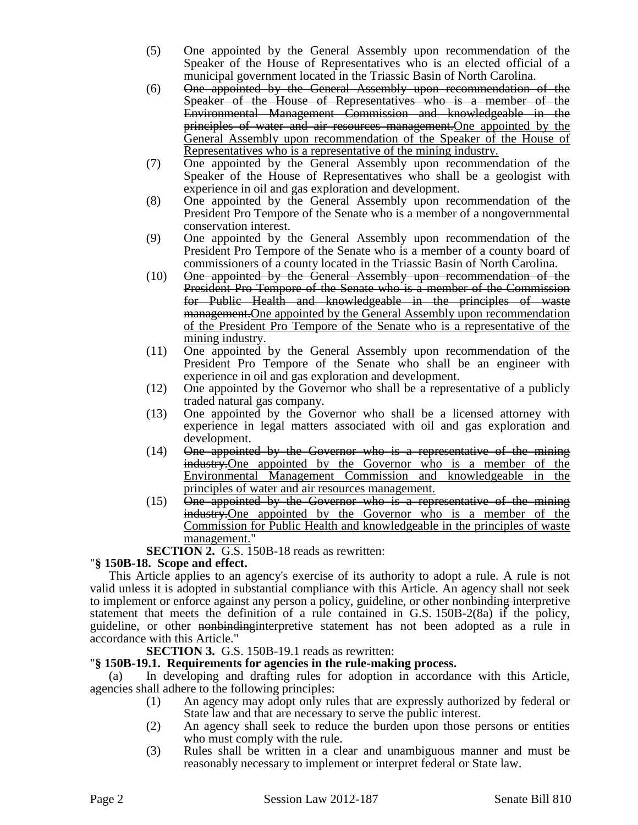- (5) One appointed by the General Assembly upon recommendation of the Speaker of the House of Representatives who is an elected official of a municipal government located in the Triassic Basin of North Carolina.
- (6) One appointed by the General Assembly upon recommendation of the Speaker of the House of Representatives who is a member of the Environmental Management Commission and knowledgeable in the principles of water and air resources management.One appointed by the General Assembly upon recommendation of the Speaker of the House of Representatives who is a representative of the mining industry.
- (7) One appointed by the General Assembly upon recommendation of the Speaker of the House of Representatives who shall be a geologist with experience in oil and gas exploration and development.
- (8) One appointed by the General Assembly upon recommendation of the President Pro Tempore of the Senate who is a member of a nongovernmental conservation interest.
- (9) One appointed by the General Assembly upon recommendation of the President Pro Tempore of the Senate who is a member of a county board of commissioners of a county located in the Triassic Basin of North Carolina.
- (10) One appointed by the General Assembly upon recommendation of the President Pro Tempore of the Senate who is a member of the Commission for Public Health and knowledgeable in the principles of waste management.One appointed by the General Assembly upon recommendation of the President Pro Tempore of the Senate who is a representative of the mining industry.
- (11) One appointed by the General Assembly upon recommendation of the President Pro Tempore of the Senate who shall be an engineer with experience in oil and gas exploration and development.
- (12) One appointed by the Governor who shall be a representative of a publicly traded natural gas company.
- (13) One appointed by the Governor who shall be a licensed attorney with experience in legal matters associated with oil and gas exploration and development.
- (14) One appointed by the Governor who is a representative of the mining industry.One appointed by the Governor who is a member of the Environmental Management Commission and knowledgeable in the principles of water and air resources management.
- (15) One appointed by the Governor who is a representative of the mining industry.One appointed by the Governor who is a member of the Commission for Public Health and knowledgeable in the principles of waste management."

**SECTION 2.** G.S. 150B-18 reads as rewritten:

### "**§ 150B-18. Scope and effect.**

This Article applies to an agency's exercise of its authority to adopt a rule. A rule is not valid unless it is adopted in substantial compliance with this Article. An agency shall not seek to implement or enforce against any person a policy, guideline, or other nonbinding interpretive statement that meets the definition of a rule contained in G.S. 150B-2(8a) if the policy, guideline, or other nonbindinginterpretive statement has not been adopted as a rule in accordance with this Article."

**SECTION 3.** G.S. 150B-19.1 reads as rewritten:

### "**§ 150B-19.1. Requirements for agencies in the rule-making process.**

In developing and drafting rules for adoption in accordance with this Article, agencies shall adhere to the following principles:

- (1) An agency may adopt only rules that are expressly authorized by federal or State law and that are necessary to serve the public interest.
- (2) An agency shall seek to reduce the burden upon those persons or entities who must comply with the rule.
- (3) Rules shall be written in a clear and unambiguous manner and must be reasonably necessary to implement or interpret federal or State law.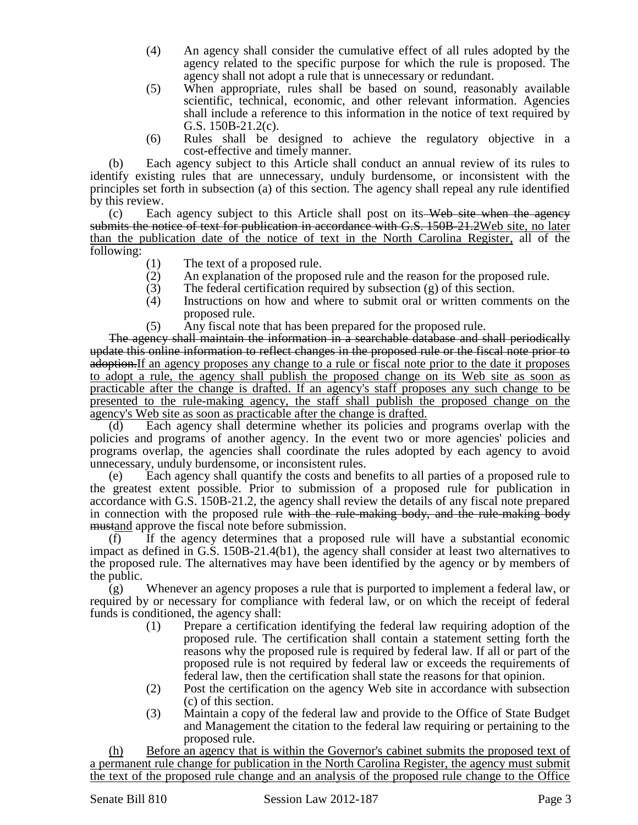- (4) An agency shall consider the cumulative effect of all rules adopted by the agency related to the specific purpose for which the rule is proposed. The agency shall not adopt a rule that is unnecessary or redundant.
- (5) When appropriate, rules shall be based on sound, reasonably available scientific, technical, economic, and other relevant information. Agencies shall include a reference to this information in the notice of text required by G.S. 150B-21.2(c).
- (6) Rules shall be designed to achieve the regulatory objective in a cost-effective and timely manner.

(b) Each agency subject to this Article shall conduct an annual review of its rules to identify existing rules that are unnecessary, unduly burdensome, or inconsistent with the principles set forth in subsection (a) of this section. The agency shall repeal any rule identified by this review.

 $(c)$  Each agency subject to this Article shall post on its Web site when the agency submits the notice of text for publication in accordance with G.S. 150B-21.2Web site, no later than the publication date of the notice of text in the North Carolina Register, all of the following:

- (1) The text of a proposed rule.
- (2) An explanation of the proposed rule and the reason for the proposed rule.
- (3) The federal certification required by subsection  $(g)$  of this section.<br>  $(4)$  Instructions on how and where to submit oral or written comme
- Instructions on how and where to submit oral or written comments on the proposed rule.
- (5) Any fiscal note that has been prepared for the proposed rule.

The agency shall maintain the information in a searchable database and shall periodically update this online information to reflect changes in the proposed rule or the fiscal note prior to adoption.If an agency proposes any change to a rule or fiscal note prior to the date it proposes to adopt a rule, the agency shall publish the proposed change on its Web site as soon as practicable after the change is drafted. If an agency's staff proposes any such change to be presented to the rule-making agency, the staff shall publish the proposed change on the agency's Web site as soon as practicable after the change is drafted.

(d) Each agency shall determine whether its policies and programs overlap with the policies and programs of another agency. In the event two or more agencies' policies and programs overlap, the agencies shall coordinate the rules adopted by each agency to avoid unnecessary, unduly burdensome, or inconsistent rules.

(e) Each agency shall quantify the costs and benefits to all parties of a proposed rule to the greatest extent possible. Prior to submission of a proposed rule for publication in accordance with G.S. 150B-21.2, the agency shall review the details of any fiscal note prepared in connection with the proposed rule with the rule-making body, and the rule-making body mustand approve the fiscal note before submission.

(f) If the agency determines that a proposed rule will have a substantial economic impact as defined in G.S. 150B-21.4(b1), the agency shall consider at least two alternatives to the proposed rule. The alternatives may have been identified by the agency or by members of the public.

(g) Whenever an agency proposes a rule that is purported to implement a federal law, or required by or necessary for compliance with federal law, or on which the receipt of federal funds is conditioned, the agency shall:

- (1) Prepare a certification identifying the federal law requiring adoption of the proposed rule. The certification shall contain a statement setting forth the reasons why the proposed rule is required by federal law. If all or part of the proposed rule is not required by federal law or exceeds the requirements of federal law, then the certification shall state the reasons for that opinion.
- (2) Post the certification on the agency Web site in accordance with subsection (c) of this section.
- (3) Maintain a copy of the federal law and provide to the Office of State Budget and Management the citation to the federal law requiring or pertaining to the proposed rule.

(h) Before an agency that is within the Governor's cabinet submits the proposed text of a permanent rule change for publication in the North Carolina Register, the agency must submit the text of the proposed rule change and an analysis of the proposed rule change to the Office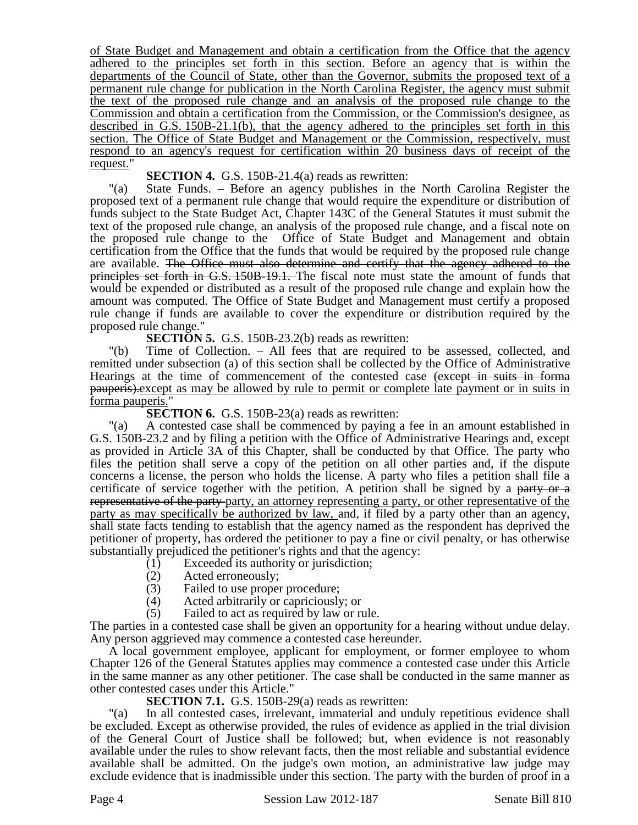of State Budget and Management and obtain a certification from the Office that the agency adhered to the principles set forth in this section. Before an agency that is within the departments of the Council of State, other than the Governor, submits the proposed text of a permanent rule change for publication in the North Carolina Register, the agency must submit the text of the proposed rule change and an analysis of the proposed rule change to the Commission and obtain a certification from the Commission, or the Commission's designee, as described in G.S. 150B-21.1(b), that the agency adhered to the principles set forth in this section. The Office of State Budget and Management or the Commission, respectively, must respond to an agency's request for certification within 20 business days of receipt of the request."

**SECTION 4.** G.S. 150B-21.4(a) reads as rewritten:

"(a) State Funds. – Before an agency publishes in the North Carolina Register the proposed text of a permanent rule change that would require the expenditure or distribution of funds subject to the State Budget Act, Chapter 143C of the General Statutes it must submit the text of the proposed rule change, an analysis of the proposed rule change, and a fiscal note on the proposed rule change to the Office of State Budget and Management and obtain certification from the Office that the funds that would be required by the proposed rule change are available. The Office must also determine and certify that the agency adhered to the principles set forth in G.S. 150B-19.1. The fiscal note must state the amount of funds that would be expended or distributed as a result of the proposed rule change and explain how the amount was computed. The Office of State Budget and Management must certify a proposed rule change if funds are available to cover the expenditure or distribution required by the proposed rule change."

**SECTION 5.** G.S. 150B-23.2(b) reads as rewritten:

"(b) Time of Collection. – All fees that are required to be assessed, collected, and remitted under subsection (a) of this section shall be collected by the Office of Administrative Hearings at the time of commencement of the contested case (except in suits in forma pauperis).except as may be allowed by rule to permit or complete late payment or in suits in forma pauperis."

**SECTION 6.** G.S. 150B-23(a) reads as rewritten:

"(a) A contested case shall be commenced by paying a fee in an amount established in G.S. 150B-23.2 and by filing a petition with the Office of Administrative Hearings and, except as provided in Article 3A of this Chapter, shall be conducted by that Office. The party who files the petition shall serve a copy of the petition on all other parties and, if the dispute concerns a license, the person who holds the license. A party who files a petition shall file a certificate of service together with the petition. A petition shall be signed by a party or a representative of the party party, an attorney representing a party, or other representative of the party as may specifically be authorized by law, and, if filed by a party other than an agency, shall state facts tending to establish that the agency named as the respondent has deprived the petitioner of property, has ordered the petitioner to pay a fine or civil penalty, or has otherwise substantially prejudiced the petitioner's rights and that the agency:

- (1) Exceeded its authority or jurisdiction;
- (2) Acted erroneously;
- (3) Failed to use proper procedure;<br>(4) Acted arbitrarily or capriciously
- Acted arbitrarily or capriciously; or
- (5) Failed to act as required by law or rule.

The parties in a contested case shall be given an opportunity for a hearing without undue delay. Any person aggrieved may commence a contested case hereunder.

A local government employee, applicant for employment, or former employee to whom Chapter 126 of the General Statutes applies may commence a contested case under this Article in the same manner as any other petitioner. The case shall be conducted in the same manner as other contested cases under this Article."

**SECTION 7.1.** G.S. 150B-29(a) reads as rewritten:

"(a) In all contested cases, irrelevant, immaterial and unduly repetitious evidence shall be excluded. Except as otherwise provided, the rules of evidence as applied in the trial division of the General Court of Justice shall be followed; but, when evidence is not reasonably available under the rules to show relevant facts, then the most reliable and substantial evidence available shall be admitted. On the judge's own motion, an administrative law judge may exclude evidence that is inadmissible under this section. The party with the burden of proof in a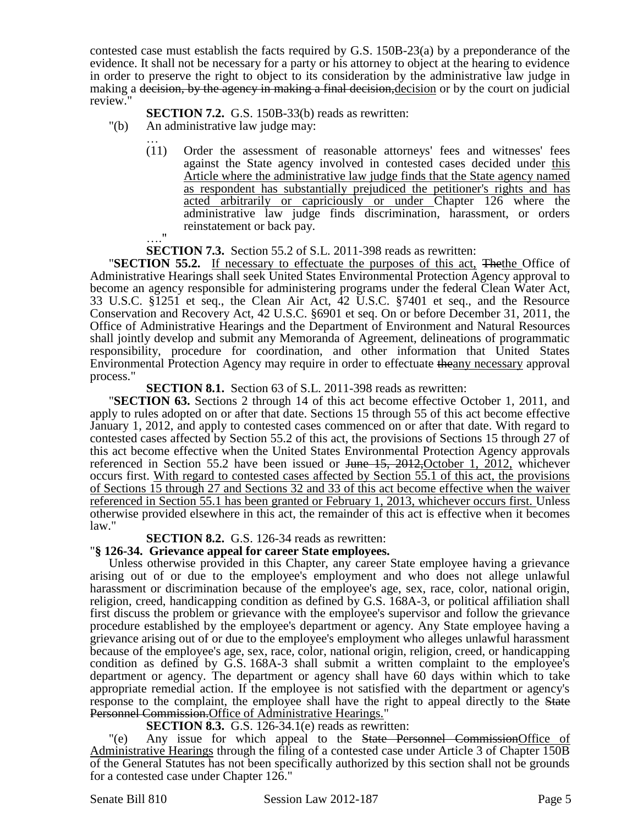contested case must establish the facts required by G.S. 150B-23(a) by a preponderance of the evidence. It shall not be necessary for a party or his attorney to object at the hearing to evidence in order to preserve the right to object to its consideration by the administrative law judge in making a <del>decision, by the agency in making a final decision,</del> decision or by the court on judicial review."

**SECTION 7.2.** G.S. 150B-33(b) reads as rewritten:

- "(b) An administrative law judge may:
	- … (11) Order the assessment of reasonable attorneys' fees and witnesses' fees against the State agency involved in contested cases decided under this Article where the administrative law judge finds that the State agency named as respondent has substantially prejudiced the petitioner's rights and has acted arbitrarily or capriciously or under Chapter 126 where the administrative law judge finds discrimination, harassment, or orders reinstatement or back pay.

 $^{\prime\prime}$ 

**SECTION 7.3.** Section 55.2 of S.L. 2011-398 reads as rewritten:

"**SECTION 55.2.** If necessary to effectuate the purposes of this act, Thethe Office of Administrative Hearings shall seek United States Environmental Protection Agency approval to become an agency responsible for administering programs under the federal Clean Water Act, 33 U.S.C. §1251 et seq., the Clean Air Act, 42 U.S.C. §7401 et seq., and the Resource Conservation and Recovery Act, 42 U.S.C. §6901 et seq. On or before December 31, 2011, the Office of Administrative Hearings and the Department of Environment and Natural Resources shall jointly develop and submit any Memoranda of Agreement, delineations of programmatic responsibility, procedure for coordination, and other information that United States Environmental Protection Agency may require in order to effectuate theany necessary approval process."

**SECTION 8.1.** Section 63 of S.L. 2011-398 reads as rewritten:

"**SECTION 63.** Sections 2 through 14 of this act become effective October 1, 2011, and apply to rules adopted on or after that date. Sections 15 through 55 of this act become effective January 1, 2012, and apply to contested cases commenced on or after that date. With regard to contested cases affected by Section 55.2 of this act, the provisions of Sections 15 through 27 of this act become effective when the United States Environmental Protection Agency approvals referenced in Section 55.2 have been issued or <del>June 15, 2012,</del>October 1, 2012, whichever occurs first. With regard to contested cases affected by Section 55.1 of this act, the provisions of Sections 15 through 27 and Sections 32 and 33 of this act become effective when the waiver referenced in Section 55.1 has been granted or February 1, 2013, whichever occurs first. Unless otherwise provided elsewhere in this act, the remainder of this act is effective when it becomes law."

### **SECTION 8.2.** G.S. 126-34 reads as rewritten:

# "**§ 126-34. Grievance appeal for career State employees.**

Unless otherwise provided in this Chapter, any career State employee having a grievance arising out of or due to the employee's employment and who does not allege unlawful harassment or discrimination because of the employee's age, sex, race, color, national origin, religion, creed, handicapping condition as defined by G.S. 168A-3, or political affiliation shall first discuss the problem or grievance with the employee's supervisor and follow the grievance procedure established by the employee's department or agency. Any State employee having a grievance arising out of or due to the employee's employment who alleges unlawful harassment because of the employee's age, sex, race, color, national origin, religion, creed, or handicapping condition as defined by G.S. 168A-3 shall submit a written complaint to the employee's department or agency. The department or agency shall have 60 days within which to take appropriate remedial action. If the employee is not satisfied with the department or agency's response to the complaint, the employee shall have the right to appeal directly to the State Personnel Commission.Office of Administrative Hearings."

### **SECTION 8.3.** G.S. 126-34.1(e) reads as rewritten:

"(e) Any issue for which appeal to the State Personnel CommissionOffice of Administrative Hearings through the filing of a contested case under Article 3 of Chapter 150B of the General Statutes has not been specifically authorized by this section shall not be grounds for a contested case under Chapter 126."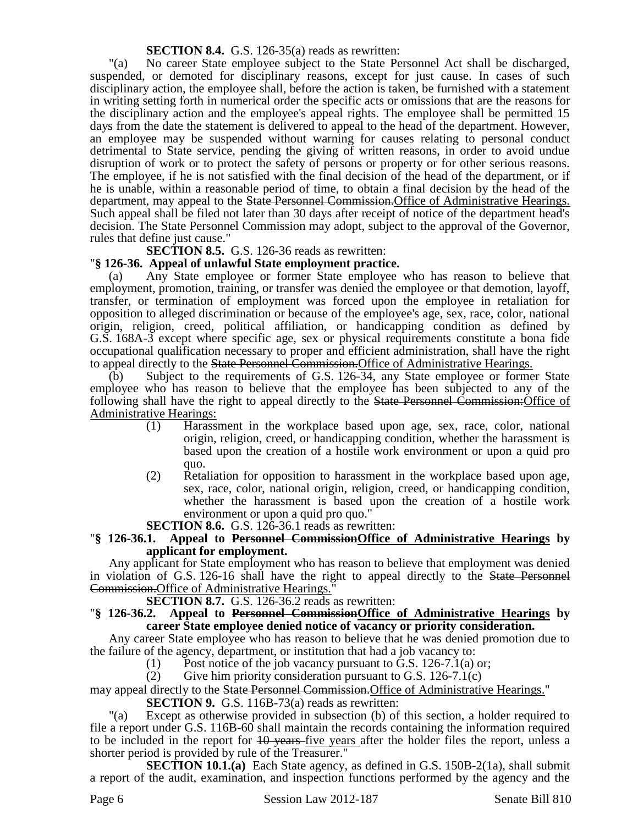**SECTION 8.4.** G.S. 126-35(a) reads as rewritten:

"(a) No career State employee subject to the State Personnel Act shall be discharged, suspended, or demoted for disciplinary reasons, except for just cause. In cases of such disciplinary action, the employee shall, before the action is taken, be furnished with a statement in writing setting forth in numerical order the specific acts or omissions that are the reasons for the disciplinary action and the employee's appeal rights. The employee shall be permitted 15 days from the date the statement is delivered to appeal to the head of the department. However, an employee may be suspended without warning for causes relating to personal conduct detrimental to State service, pending the giving of written reasons, in order to avoid undue disruption of work or to protect the safety of persons or property or for other serious reasons. The employee, if he is not satisfied with the final decision of the head of the department, or if he is unable, within a reasonable period of time, to obtain a final decision by the head of the department, may appeal to the State Personnel Commission. Office of Administrative Hearings. Such appeal shall be filed not later than 30 days after receipt of notice of the department head's decision. The State Personnel Commission may adopt, subject to the approval of the Governor, rules that define just cause."

**SECTION 8.5.** G.S. 126-36 reads as rewritten:

# "**§ 126-36. Appeal of unlawful State employment practice.**

(a) Any State employee or former State employee who has reason to believe that employment, promotion, training, or transfer was denied the employee or that demotion, layoff, transfer, or termination of employment was forced upon the employee in retaliation for opposition to alleged discrimination or because of the employee's age, sex, race, color, national origin, religion, creed, political affiliation, or handicapping condition as defined by G.S. 168A-3 except where specific age, sex or physical requirements constitute a bona fide occupational qualification necessary to proper and efficient administration, shall have the right to appeal directly to the State Personnel Commission. Office of Administrative Hearings.

(b) Subject to the requirements of G.S. 126-34, any State employee or former State employee who has reason to believe that the employee has been subjected to any of the following shall have the right to appeal directly to the **State Personnel Commission:**Office of Administrative Hearings:

- (1) Harassment in the workplace based upon age, sex, race, color, national origin, religion, creed, or handicapping condition, whether the harassment is based upon the creation of a hostile work environment or upon a quid pro quo.
- (2) Retaliation for opposition to harassment in the workplace based upon age, sex, race, color, national origin, religion, creed, or handicapping condition, whether the harassment is based upon the creation of a hostile work environment or upon a quid pro quo."

### **SECTION 8.6.** G.S. 126-36.1 reads as rewritten:

### "**§ 126-36.1. Appeal to Personnel CommissionOffice of Administrative Hearings by applicant for employment.**

Any applicant for State employment who has reason to believe that employment was denied in violation of G.S. 126-16 shall have the right to appeal directly to the State Personnel Commission.Office of Administrative Hearings."

**SECTION 8.7.** G.S. 126-36.2 reads as rewritten:

### "**§ 126-36.2. Appeal to Personnel CommissionOffice of Administrative Hearings by career State employee denied notice of vacancy or priority consideration.**

Any career State employee who has reason to believe that he was denied promotion due to the failure of the agency, department, or institution that had a job vacancy to:

(1) Post notice of the job vacancy pursuant to G.S. 126-7.1(a) or;

(2) Give him priority consideration pursuant to G.S.  $126-7.1(c)$ 

may appeal directly to the State Personnel Commission.Office of Administrative Hearings."

**SECTION 9.** G.S. 116B-73(a) reads as rewritten:

"(a) Except as otherwise provided in subsection (b) of this section, a holder required to file a report under G.S. 116B-60 shall maintain the records containing the information required to be included in the report for  $10$  years five years after the holder files the report, unless a shorter period is provided by rule of the Treasurer."

**SECTION 10.1.(a)** Each State agency, as defined in G.S. 150B-2(1a), shall submit a report of the audit, examination, and inspection functions performed by the agency and the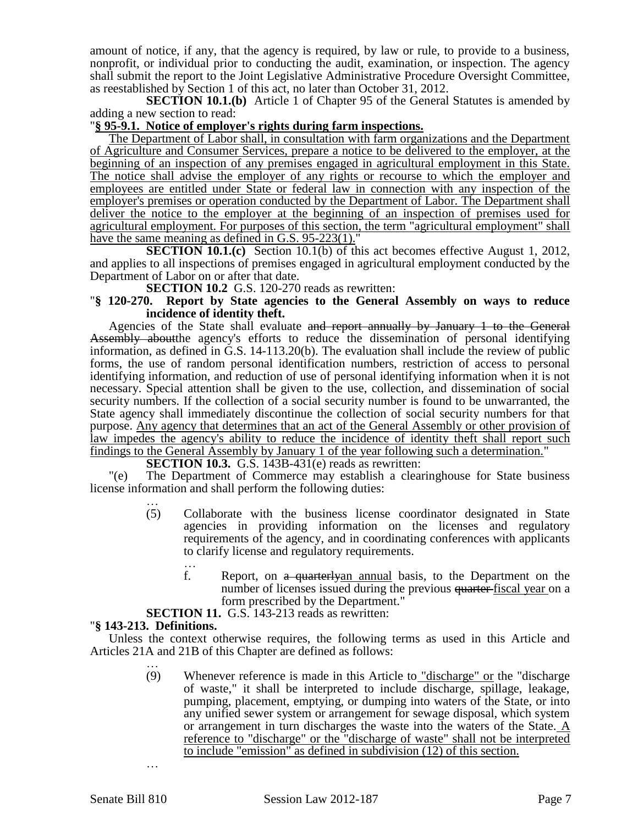amount of notice, if any, that the agency is required, by law or rule, to provide to a business, nonprofit, or individual prior to conducting the audit, examination, or inspection. The agency shall submit the report to the Joint Legislative Administrative Procedure Oversight Committee, as reestablished by Section 1 of this act, no later than October 31, 2012.

**SECTION 10.1.(b)** Article 1 of Chapter 95 of the General Statutes is amended by adding a new section to read:

### "**§ 95-9.1. Notice of employer's rights during farm inspections.**

The Department of Labor shall, in consultation with farm organizations and the Department of Agriculture and Consumer Services, prepare a notice to be delivered to the employer, at the beginning of an inspection of any premises engaged in agricultural employment in this State. The notice shall advise the employer of any rights or recourse to which the employer and employees are entitled under State or federal law in connection with any inspection of the employer's premises or operation conducted by the Department of Labor. The Department shall deliver the notice to the employer at the beginning of an inspection of premises used for agricultural employment. For purposes of this section, the term "agricultural employment" shall have the same meaning as defined in G.S. 95-223(1)."

**SECTION 10.1.(c)** Section 10.1(b) of this act becomes effective August 1, 2012, and applies to all inspections of premises engaged in agricultural employment conducted by the Department of Labor on or after that date.

**SECTION 10.2** G.S. 120-270 reads as rewritten:

### "**§ 120-270. Report by State agencies to the General Assembly on ways to reduce incidence of identity theft.**

Agencies of the State shall evaluate and report annually by January 1 to the General Assembly aboutthe agency's efforts to reduce the dissemination of personal identifying information, as defined in G.S. 14-113.20(b). The evaluation shall include the review of public forms, the use of random personal identification numbers, restriction of access to personal identifying information, and reduction of use of personal identifying information when it is not necessary. Special attention shall be given to the use, collection, and dissemination of social security numbers. If the collection of a social security number is found to be unwarranted, the State agency shall immediately discontinue the collection of social security numbers for that purpose. Any agency that determines that an act of the General Assembly or other provision of law impedes the agency's ability to reduce the incidence of identity theft shall report such findings to the General Assembly by January 1 of the year following such a determination."

**SECTION 10.3.** G.S. 143B-431(e) reads as rewritten:

"(e) The Department of Commerce may establish a clearinghouse for State business license information and shall perform the following duties:

- … (5) Collaborate with the business license coordinator designated in State agencies in providing information on the licenses and regulatory requirements of the agency, and in coordinating conferences with applicants to clarify license and regulatory requirements.
	- … f. Report, on a quarterlyan annual basis, to the Department on the number of licenses issued during the previous quarter-fiscal year on a form prescribed by the Department."

**SECTION 11.** G.S. 143-213 reads as rewritten:

#### "**§ 143-213. Definitions.**

Unless the context otherwise requires, the following terms as used in this Article and Articles 21A and 21B of this Chapter are defined as follows:

… (9) Whenever reference is made in this Article to  $\frac{\text{``discharge'' or}}{\text{``discharge}}}$  the "discharge" of waste," it shall be interpreted to include discharge, spillage, leakage, pumping, placement, emptying, or dumping into waters of the State, or into any unified sewer system or arrangement for sewage disposal, which system or arrangement in turn discharges the waste into the waters of the State.  $\underline{A}$ reference to "discharge" or the "discharge of waste" shall not be interpreted to include "emission" as defined in subdivision (12) of this section.

…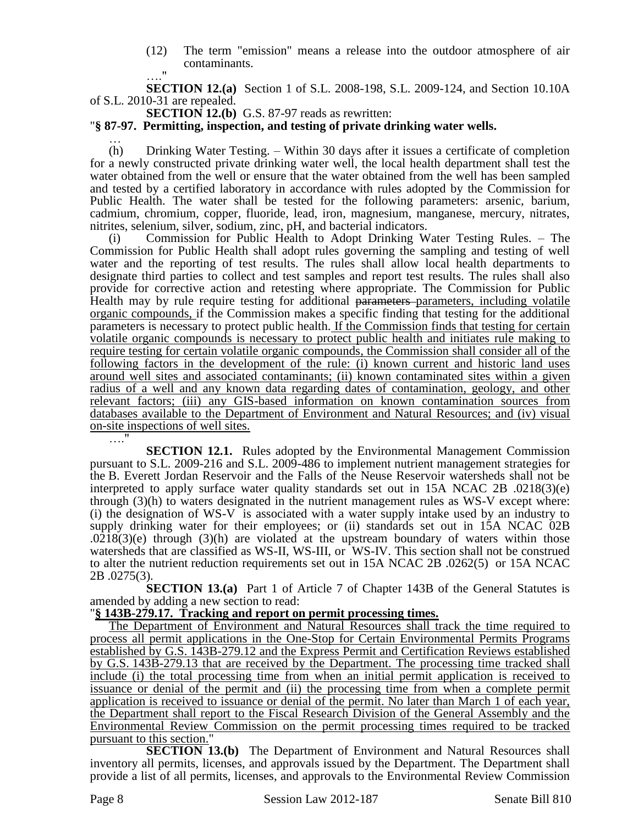(12) The term "emission" means a release into the outdoor atmosphere of air contaminants.  $^{\bullet}$ 

**SECTION 12.(a)** Section 1 of S.L. 2008-198, S.L. 2009-124, and Section 10.10A of S.L. 2010-31 are repealed.

**SECTION 12.(b)** G.S. 87-97 reads as rewritten:

#### "**§ 87-97. Permitting, inspection, and testing of private drinking water wells.**

…

(h) Drinking Water Testing. – Within 30 days after it issues a certificate of completion for a newly constructed private drinking water well, the local health department shall test the water obtained from the well or ensure that the water obtained from the well has been sampled and tested by a certified laboratory in accordance with rules adopted by the Commission for Public Health. The water shall be tested for the following parameters: arsenic, barium, cadmium, chromium, copper, fluoride, lead, iron, magnesium, manganese, mercury, nitrates, nitrites, selenium, silver, sodium, zinc, pH, and bacterial indicators.

(i) Commission for Public Health to Adopt Drinking Water Testing Rules. – The Commission for Public Health shall adopt rules governing the sampling and testing of well water and the reporting of test results. The rules shall allow local health departments to designate third parties to collect and test samples and report test results. The rules shall also provide for corrective action and retesting where appropriate. The Commission for Public Health may by rule require testing for additional parameters-parameters, including volatile organic compounds, if the Commission makes a specific finding that testing for the additional parameters is necessary to protect public health. If the Commission finds that testing for certain volatile organic compounds is necessary to protect public health and initiates rule making to require testing for certain volatile organic compounds, the Commission shall consider all of the following factors in the development of the rule: (i) known current and historic land uses around well sites and associated contaminants; (ii) known contaminated sites within a given radius of a well and any known data regarding dates of contamination, geology, and other relevant factors; (iii) any GIS-based information on known contamination sources from databases available to the Department of Environment and Natural Resources; and (iv) visual on-site inspections of well sites.

…."

**SECTION 12.1.** Rules adopted by the Environmental Management Commission pursuant to S.L. 2009-216 and S.L. 2009-486 to implement nutrient management strategies for the B. Everett Jordan Reservoir and the Falls of the Neuse Reservoir watersheds shall not be interpreted to apply surface water quality standards set out in 15A NCAC 2B .0218(3)(e) through (3)(h) to waters designated in the nutrient management rules as WS-V except where: (i) the designation of WS-V is associated with a water supply intake used by an industry to supply drinking water for their employees; or (ii) standards set out in 15A NCAC 02B  $.0218(3)$ (e) through (3)(h) are violated at the upstream boundary of waters within those watersheds that are classified as WS-II, WS-III, or WS-IV. This section shall not be construed to alter the nutrient reduction requirements set out in 15A NCAC 2B .0262(5) or 15A NCAC 2B .0275(3).

**SECTION 13.(a)** Part 1 of Article 7 of Chapter 143B of the General Statutes is amended by adding a new section to read:

#### "**§ 143B-279.17. Tracking and report on permit processing times.**

The Department of Environment and Natural Resources shall track the time required to process all permit applications in the One-Stop for Certain Environmental Permits Programs established by G.S. 143B-279.12 and the Express Permit and Certification Reviews established by G.S. 143B-279.13 that are received by the Department. The processing time tracked shall include (i) the total processing time from when an initial permit application is received to issuance or denial of the permit and (ii) the processing time from when a complete permit application is received to issuance or denial of the permit. No later than March 1 of each year, the Department shall report to the Fiscal Research Division of the General Assembly and the Environmental Review Commission on the permit processing times required to be tracked pursuant to this section."

**SECTION 13.(b)** The Department of Environment and Natural Resources shall inventory all permits, licenses, and approvals issued by the Department. The Department shall provide a list of all permits, licenses, and approvals to the Environmental Review Commission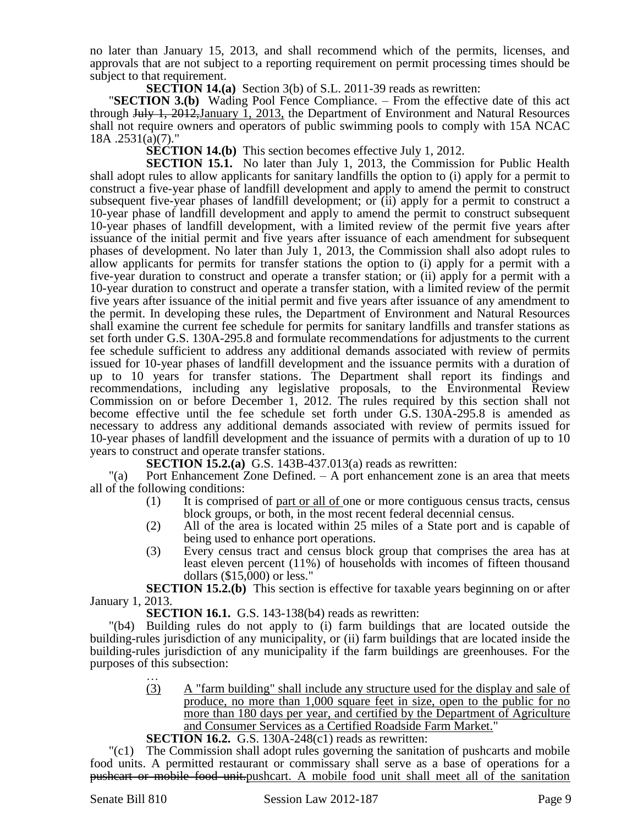no later than January 15, 2013, and shall recommend which of the permits, licenses, and approvals that are not subject to a reporting requirement on permit processing times should be subject to that requirement.

**SECTION 14.(a)** Section 3(b) of S.L. 2011-39 reads as rewritten:

"**SECTION 3.(b)** Wading Pool Fence Compliance. – From the effective date of this act through July 1, 2012,January 1, 2013, the Department of Environment and Natural Resources shall not require owners and operators of public swimming pools to comply with 15A NCAC 18A .2531(a)(7)."

**SECTION 14.(b)** This section becomes effective July 1, 2012.

**SECTION 15.1.** No later than July 1, 2013, the Commission for Public Health shall adopt rules to allow applicants for sanitary landfills the option to (i) apply for a permit to construct a five-year phase of landfill development and apply to amend the permit to construct subsequent five-year phases of landfill development; or (ii) apply for a permit to construct a 10-year phase of landfill development and apply to amend the permit to construct subsequent 10-year phases of landfill development, with a limited review of the permit five years after issuance of the initial permit and five years after issuance of each amendment for subsequent phases of development. No later than July 1, 2013, the Commission shall also adopt rules to allow applicants for permits for transfer stations the option to (i) apply for a permit with a five-year duration to construct and operate a transfer station; or (ii) apply for a permit with a 10-year duration to construct and operate a transfer station, with a limited review of the permit five years after issuance of the initial permit and five years after issuance of any amendment to the permit. In developing these rules, the Department of Environment and Natural Resources shall examine the current fee schedule for permits for sanitary landfills and transfer stations as set forth under G.S. 130A-295.8 and formulate recommendations for adjustments to the current fee schedule sufficient to address any additional demands associated with review of permits issued for 10-year phases of landfill development and the issuance permits with a duration of up to 10 years for transfer stations. The Department shall report its findings and recommendations, including any legislative proposals, to the Environmental Review Commission on or before December 1, 2012. The rules required by this section shall not become effective until the fee schedule set forth under G.S. 130A-295.8 is amended as necessary to address any additional demands associated with review of permits issued for 10-year phases of landfill development and the issuance of permits with a duration of up to 10 years to construct and operate transfer stations.

**SECTION 15.2.(a)** G.S. 143B-437.013(a) reads as rewritten:

 $\Gamma$ (a) Port Enhancement Zone Defined.  $- A$  port enhancement zone is an area that meets all of the following conditions:

- (1) It is comprised of part or all of one or more contiguous census tracts, census block groups, or both, in the most recent federal decennial census.
- (2) All of the area is located within 25 miles of a State port and is capable of being used to enhance port operations.
- (3) Every census tract and census block group that comprises the area has at least eleven percent (11%) of households with incomes of fifteen thousand dollars (\$15,000) or less."

**SECTION 15.2.(b)** This section is effective for taxable years beginning on or after January 1, 2013.

**SECTION 16.1.** G.S. 143-138(b4) reads as rewritten:

"(b4) Building rules do not apply to (i) farm buildings that are located outside the building-rules jurisdiction of any municipality, or (ii) farm buildings that are located inside the building-rules jurisdiction of any municipality if the farm buildings are greenhouses. For the purposes of this subsection: …

- (3) A "farm building" shall include any structure used for the display and sale of produce, no more than 1,000 square feet in size, open to the public for no more than 180 days per year, and certified by the Department of Agriculture and Consumer Services as a Certified Roadside Farm Market."
- **SECTION 16.2.** G.S. 130A-248(c1) reads as rewritten:

"(c1) The Commission shall adopt rules governing the sanitation of pushcarts and mobile food units. A permitted restaurant or commissary shall serve as a base of operations for a pushcart or mobile food unit.pushcart. A mobile food unit shall meet all of the sanitation